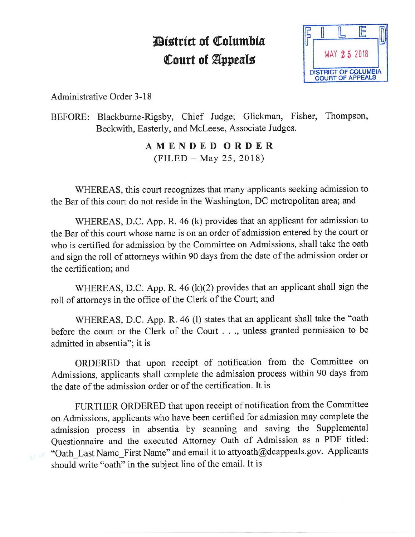## *<u>Aistrict</u>* of Columbia **Court of Appeals**



Administrative Order 3-18

BEFORE: Blackburne-Rigsby, Chief Judge; Glickman, Fisher, Thompson, Beckwith, Easterly, and McLeese, Associate Judges.

> **AMENDED ORDER**   $(FILED - May 25, 2018)$

WHEREAS, this court recognizes that many applicants seeking admission to the Bar of this court do not reside in the Washington, DC metropolitan area; and

WHEREAS, D.C. App. R. 46 (k) provides that an applicant for admission to the Bar of this court whose name is on an order of admission entered by the court or who is certified for admission by the Committee on Admissions, shall take the oath and sign the roll of attorneys within 90 days from the date of the admission order or the certification; and

WHEREAS, D.C. App. R. 46 (k)(2) provides that an applicant shall sign the roll of attorneys in the office of the Clerk of the Court; and

WHEREAS, D.C. App. R. 46 (l) states that an applicant shall take the "oath before the court or the Clerk of the Court . . ., unless granted permission to be admitted in absentia"; it is

ORDERED that upon receipt of notification from the Committee on Admissions, applicants shall complete the admission process within 90 days from the date of the admission order or of the certification. It is

FURTHER ORDERED that upon receipt of notification from the Committee on Admissions, applicants who have been certified for admission may complete the admission process in absentia by scanning and saving the Supplemental Questionnaire and the executed Attorney Oath of Admission as a PDF titled: "Oath\_Last Name\_First Name" and email it to attyoath@dcappeals.gov. Applicants should write "oath" in the subject line of the email. It is